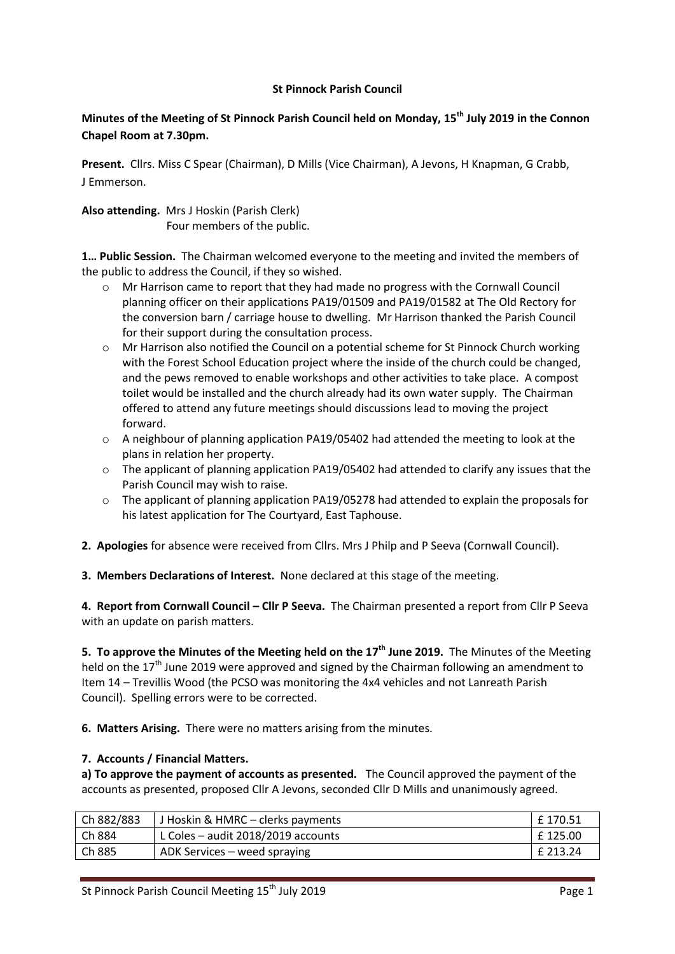## **St Pinnock Parish Council**

# **Minutes of the Meeting of St Pinnock Parish Council held on Monday, 15th July 2019 in the Connon Chapel Room at 7.30pm.**

**Present.** Cllrs. Miss C Spear (Chairman), D Mills (Vice Chairman), A Jevons, H Knapman, G Crabb, J Emmerson.

**Also attending.** Mrs J Hoskin (Parish Clerk) Four members of the public.

**1… Public Session.** The Chairman welcomed everyone to the meeting and invited the members of the public to address the Council, if they so wished.

- o Mr Harrison came to report that they had made no progress with the Cornwall Council planning officer on their applications PA19/01509 and PA19/01582 at The Old Rectory for the conversion barn / carriage house to dwelling. Mr Harrison thanked the Parish Council for their support during the consultation process.
- o Mr Harrison also notified the Council on a potential scheme for St Pinnock Church working with the Forest School Education project where the inside of the church could be changed, and the pews removed to enable workshops and other activities to take place. A compost toilet would be installed and the church already had its own water supply. The Chairman offered to attend any future meetings should discussions lead to moving the project forward.
- o A neighbour of planning application PA19/05402 had attended the meeting to look at the plans in relation her property.
- $\circ$  The applicant of planning application PA19/05402 had attended to clarify any issues that the Parish Council may wish to raise.
- o The applicant of planning application PA19/05278 had attended to explain the proposals for his latest application for The Courtyard, East Taphouse.
- **2. Apologies** for absence were received from Cllrs. Mrs J Philp and P Seeva (Cornwall Council).

**3. Members Declarations of Interest.** None declared at this stage of the meeting.

**4. Report from Cornwall Council – Cllr P Seeva.** The Chairman presented a report from Cllr P Seeva with an update on parish matters.

**5. To approve the Minutes of the Meeting held on the 17th June 2019.** The Minutes of the Meeting held on the  $17<sup>th</sup>$  June 2019 were approved and signed by the Chairman following an amendment to Item 14 – Trevillis Wood (the PCSO was monitoring the 4x4 vehicles and not Lanreath Parish Council). Spelling errors were to be corrected.

**6. Matters Arising.** There were no matters arising from the minutes.

## **7. Accounts / Financial Matters.**

**a) To approve the payment of accounts as presented.** The Council approved the payment of the accounts as presented, proposed Cllr A Jevons, seconded Cllr D Mills and unanimously agreed.

| Ch 882/883 | J Hoskin & HMRC – clerks payments  | £ 170.51 |
|------------|------------------------------------|----------|
| Ch 884     | L Coles - audit 2018/2019 accounts | £125.00  |
| Ch 885     | ADK Services – weed spraying       | £ 213.24 |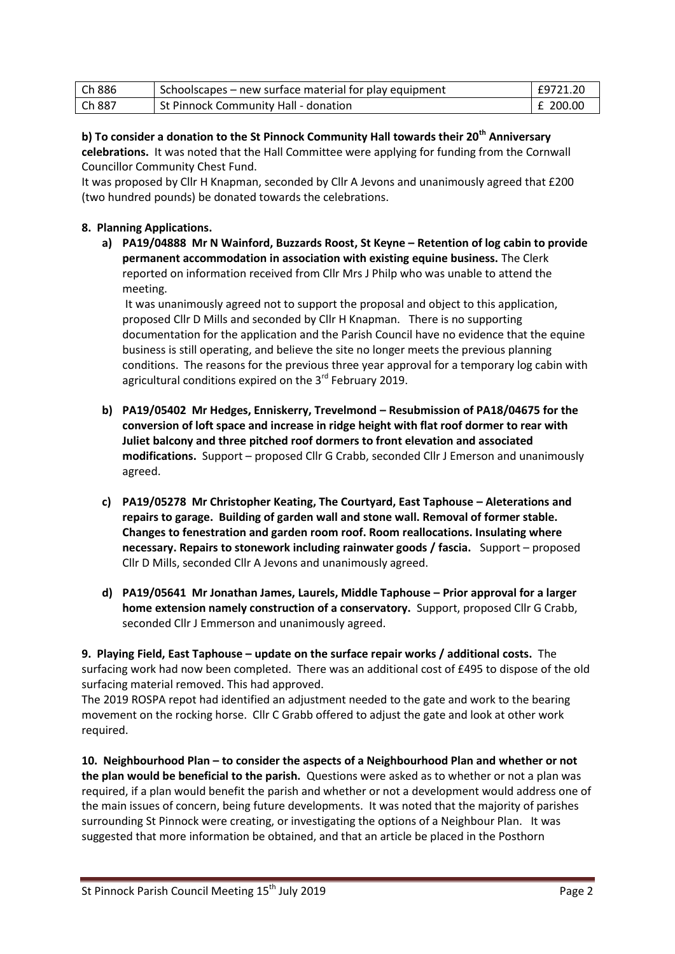| Ch 886 | Schoolscapes – new surface material for play equipment | £9721.20   |
|--------|--------------------------------------------------------|------------|
| Ch887  | St Pinnock Community Hall - donation                   | $E$ 200.00 |

**b) To consider a donation to the St Pinnock Community Hall towards their 20th Anniversary celebrations.** It was noted that the Hall Committee were applying for funding from the Cornwall Councillor Community Chest Fund.

It was proposed by Cllr H Knapman, seconded by Cllr A Jevons and unanimously agreed that £200 (two hundred pounds) be donated towards the celebrations.

## **8. Planning Applications.**

**a) PA19/04888 Mr N Wainford, Buzzards Roost, St Keyne – Retention of log cabin to provide permanent accommodation in association with existing equine business.** The Clerk reported on information received from Cllr Mrs J Philp who was unable to attend the meeting.

It was unanimously agreed not to support the proposal and object to this application, proposed Cllr D Mills and seconded by Cllr H Knapman. There is no supporting documentation for the application and the Parish Council have no evidence that the equine business is still operating, and believe the site no longer meets the previous planning conditions. The reasons for the previous three year approval for a temporary log cabin with agricultural conditions expired on the 3<sup>rd</sup> February 2019.

- **b) PA19/05402 Mr Hedges, Enniskerry, Trevelmond – Resubmission of PA18/04675 for the conversion of loft space and increase in ridge height with flat roof dormer to rear with Juliet balcony and three pitched roof dormers to front elevation and associated modifications.** Support – proposed Cllr G Crabb, seconded Cllr J Emerson and unanimously agreed.
- **c) PA19/05278 Mr Christopher Keating, The Courtyard, East Taphouse – Aleterations and repairs to garage. Building of garden wall and stone wall. Removal of former stable. Changes to fenestration and garden room roof. Room reallocations. Insulating where necessary. Repairs to stonework including rainwater goods / fascia.** Support – proposed Cllr D Mills, seconded Cllr A Jevons and unanimously agreed.
- **d) PA19/05641 Mr Jonathan James, Laurels, Middle Taphouse – Prior approval for a larger home extension namely construction of a conservatory.** Support, proposed Cllr G Crabb, seconded Cllr J Emmerson and unanimously agreed.

**9. Playing Field, East Taphouse – update on the surface repair works / additional costs.** The surfacing work had now been completed. There was an additional cost of £495 to dispose of the old surfacing material removed. This had approved.

The 2019 ROSPA repot had identified an adjustment needed to the gate and work to the bearing movement on the rocking horse. Cllr C Grabb offered to adjust the gate and look at other work required.

**10. Neighbourhood Plan – to consider the aspects of a Neighbourhood Plan and whether or not the plan would be beneficial to the parish.** Questions were asked as to whether or not a plan was required, if a plan would benefit the parish and whether or not a development would address one of the main issues of concern, being future developments. It was noted that the majority of parishes surrounding St Pinnock were creating, or investigating the options of a Neighbour Plan. It was suggested that more information be obtained, and that an article be placed in the Posthorn